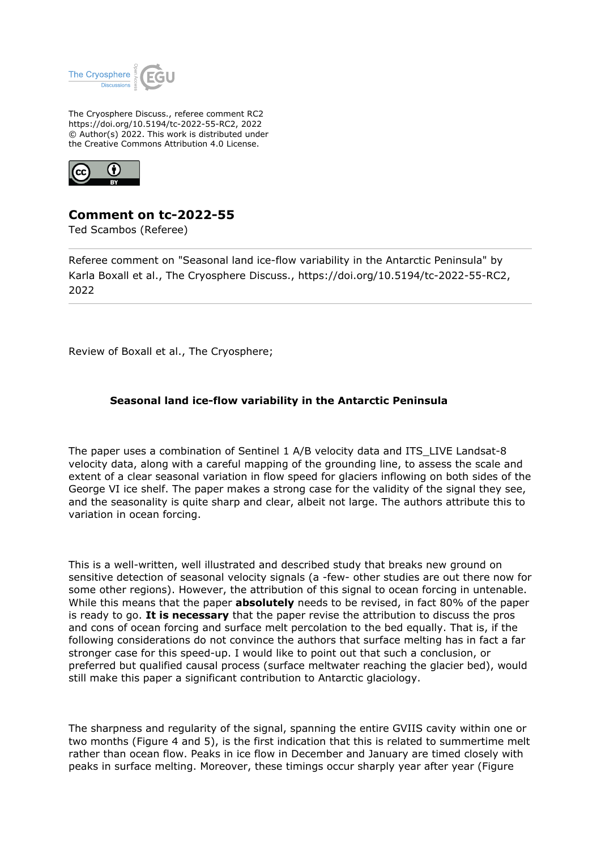

The Cryosphere Discuss., referee comment RC2 https://doi.org/10.5194/tc-2022-55-RC2, 2022 © Author(s) 2022. This work is distributed under the Creative Commons Attribution 4.0 License.



## **Comment on tc-2022-55**

Ted Scambos (Referee)

Referee comment on "Seasonal land ice-flow variability in the Antarctic Peninsula" by Karla Boxall et al., The Cryosphere Discuss., https://doi.org/10.5194/tc-2022-55-RC2, 2022

Review of Boxall et al., The Cryosphere;

## **Seasonal land ice-flow variability in the Antarctic Peninsula**

The paper uses a combination of Sentinel 1 A/B velocity data and ITS\_LIVE Landsat-8 velocity data, along with a careful mapping of the grounding line, to assess the scale and extent of a clear seasonal variation in flow speed for glaciers inflowing on both sides of the George VI ice shelf. The paper makes a strong case for the validity of the signal they see, and the seasonality is quite sharp and clear, albeit not large. The authors attribute this to variation in ocean forcing.

This is a well-written, well illustrated and described study that breaks new ground on sensitive detection of seasonal velocity signals (a -few- other studies are out there now for some other regions). However, the attribution of this signal to ocean forcing in untenable. While this means that the paper **absolutely** needs to be revised, in fact 80% of the paper is ready to go. **It is necessary** that the paper revise the attribution to discuss the pros and cons of ocean forcing and surface melt percolation to the bed equally. That is, if the following considerations do not convince the authors that surface melting has in fact a far stronger case for this speed-up. I would like to point out that such a conclusion, or preferred but qualified causal process (surface meltwater reaching the glacier bed), would still make this paper a significant contribution to Antarctic glaciology.

The sharpness and regularity of the signal, spanning the entire GVIIS cavity within one or two months (Figure 4 and 5), is the first indication that this is related to summertime melt rather than ocean flow. Peaks in ice flow in December and January are timed closely with peaks in surface melting. Moreover, these timings occur sharply year after year (Figure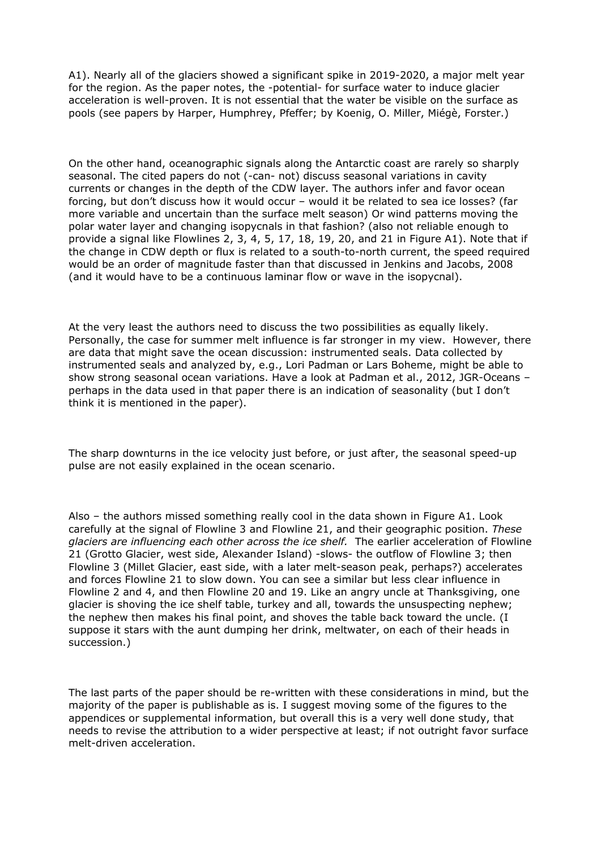A1). Nearly all of the glaciers showed a significant spike in 2019-2020, a major melt year for the region. As the paper notes, the -potential- for surface water to induce glacier acceleration is well-proven. It is not essential that the water be visible on the surface as pools (see papers by Harper, Humphrey, Pfeffer; by Koenig, O. Miller, Miégè, Forster.)

On the other hand, oceanographic signals along the Antarctic coast are rarely so sharply seasonal. The cited papers do not (-can- not) discuss seasonal variations in cavity currents or changes in the depth of the CDW layer. The authors infer and favor ocean forcing, but don't discuss how it would occur – would it be related to sea ice losses? (far more variable and uncertain than the surface melt season) Or wind patterns moving the polar water layer and changing isopycnals in that fashion? (also not reliable enough to provide a signal like Flowlines 2, 3, 4, 5, 17, 18, 19, 20, and 21 in Figure A1). Note that if the change in CDW depth or flux is related to a south-to-north current, the speed required would be an order of magnitude faster than that discussed in Jenkins and Jacobs, 2008 (and it would have to be a continuous laminar flow or wave in the isopycnal).

At the very least the authors need to discuss the two possibilities as equally likely. Personally, the case for summer melt influence is far stronger in my view. However, there are data that might save the ocean discussion: instrumented seals. Data collected by instrumented seals and analyzed by, e.g., Lori Padman or Lars Boheme, might be able to show strong seasonal ocean variations. Have a look at Padman et al., 2012, JGR-Oceans – perhaps in the data used in that paper there is an indication of seasonality (but I don't think it is mentioned in the paper).

The sharp downturns in the ice velocity just before, or just after, the seasonal speed-up pulse are not easily explained in the ocean scenario.

Also – the authors missed something really cool in the data shown in Figure A1. Look carefully at the signal of Flowline 3 and Flowline 21, and their geographic position. *These glaciers are influencing each other across the ice shelf.* The earlier acceleration of Flowline 21 (Grotto Glacier, west side, Alexander Island) -slows- the outflow of Flowline 3; then Flowline 3 (Millet Glacier, east side, with a later melt-season peak, perhaps?) accelerates and forces Flowline 21 to slow down. You can see a similar but less clear influence in Flowline 2 and 4, and then Flowline 20 and 19. Like an angry uncle at Thanksgiving, one glacier is shoving the ice shelf table, turkey and all, towards the unsuspecting nephew; the nephew then makes his final point, and shoves the table back toward the uncle. (I suppose it stars with the aunt dumping her drink, meltwater, on each of their heads in succession.)

The last parts of the paper should be re-written with these considerations in mind, but the majority of the paper is publishable as is. I suggest moving some of the figures to the appendices or supplemental information, but overall this is a very well done study, that needs to revise the attribution to a wider perspective at least; if not outright favor surface melt-driven acceleration.